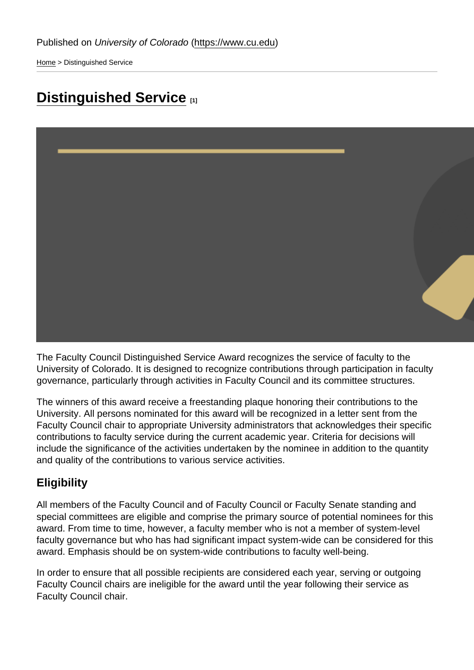[Home](https://www.cu.edu/) > Distinguished Service

## [Distinguished Service](https://www.cu.edu/faculty/faculty-council/awards/distinguished-service) [1]

The Faculty Council Distinguished Service Award recognizes the service of faculty to the University of Colorado. It is designed to recognize contributions through participation in faculty governance, particularly through activities in Faculty Council and its committee structures.

The winners of this award receive a freestanding plaque honoring their contributions to the University. All persons nominated for this award will be recognized in a letter sent from the Faculty Council chair to appropriate University administrators that acknowledges their specific contributions to faculty service during the current academic year. Criteria for decisions will include the significance of the activities undertaken by the nominee in addition to the quantity and quality of the contributions to various service activities.

## **Eligibility**

All members of the Faculty Council and of Faculty Council or Faculty Senate standing and special committees are eligible and comprise the primary source of potential nominees for this award. From time to time, however, a faculty member who is not a member of system-level faculty governance but who has had significant impact system-wide can be considered for this award. Emphasis should be on system-wide contributions to faculty well-being.

In order to ensure that all possible recipients are considered each year, serving or outgoing Faculty Council chairs are ineligible for the award until the year following their service as Faculty Council chair.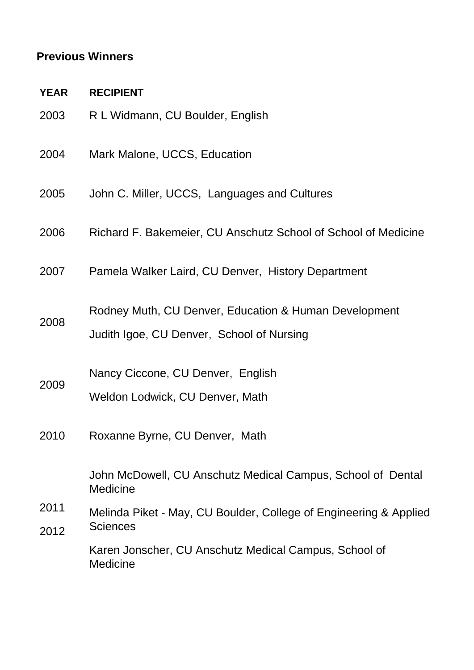## **Previous Winners**

**YEAR RECIPIENT**

2008

2009

- 2003 R L Widmann, CU Boulder, English
- 2004 Mark Malone, UCCS, Education
- 2005 John C. Miller, UCCS, Languages and Cultures
- 2006 Richard F. Bakemeier, CU Anschutz School of School of Medicine
- 2007 Pamela Walker Laird, CU Denver, History Department
- Rodney Muth, CU Denver, Education & Human Development
	- Judith Igoe, CU Denver, School of Nursing

Nancy Ciccone, CU Denver, English

- Weldon Lodwick, CU Denver, Math
- 2010 Roxanne Byrne, CU Denver, Math

John McDowell, CU Anschutz Medical Campus, School of Dental Medicine

2011 2012 Melinda Piket - May, CU Boulder, College of Engineering & Applied **Sciences** 

> Karen Jonscher, CU Anschutz Medical Campus, School of **Medicine**